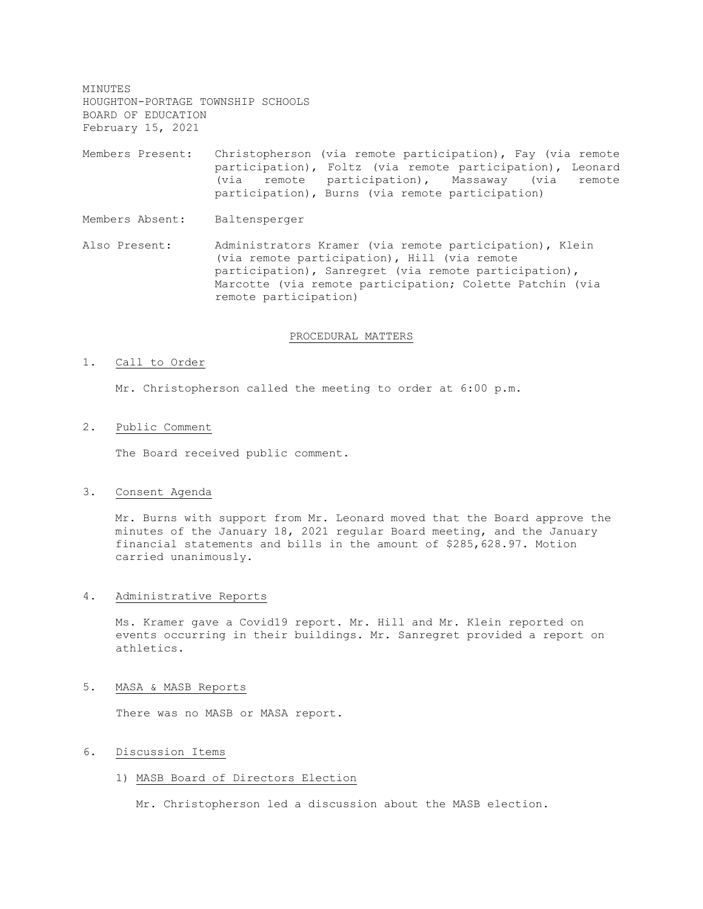MINUTES HOUGHTON-PORTAGE TOWNSHIP SCHOOLS BOARD OF EDUCATION February 15, 2021 Members Present: Christopherson (via remote participation), Fay (via remote participation), Foltz (via remote participation), Leonard (via remote participation), Massaway (via remote participation), Burns (via remote participation) Members Absent: Baltensperger Also Present: Administrators Kramer (via remote participation), Klein (via remote participation), Hill (via remote participation), Sanregret (via remote participation), Marcotte (via remote participation; Colette Patchin (via

#### PROCEDURAL MATTERS

#### 1. Call to Order

Mr. Christopherson called the meeting to order at 6:00 p.m.

remote participation)

2. Public Comment

The Board received public comment.

## 3. Consent Agenda

Mr. Burns with support from Mr. Leonard moved that the Board approve the minutes of the January 18, 2021 regular Board meeting, and the January financial statements and bills in the amount of \$285,628.97. Motion carried unanimously.

### 4. Administrative Reports

Ms. Kramer gave a Covid19 report. Mr. Hill and Mr. Klein reported on events occurring in their buildings. Mr. Sanregret provided a report on athletics.

### 5. MASA & MASB Reports

There was no MASB or MASA report.

# 6. Discussion Items

### 1) MASB Board of Directors Election

Mr. Christopherson led a discussion about the MASB election.